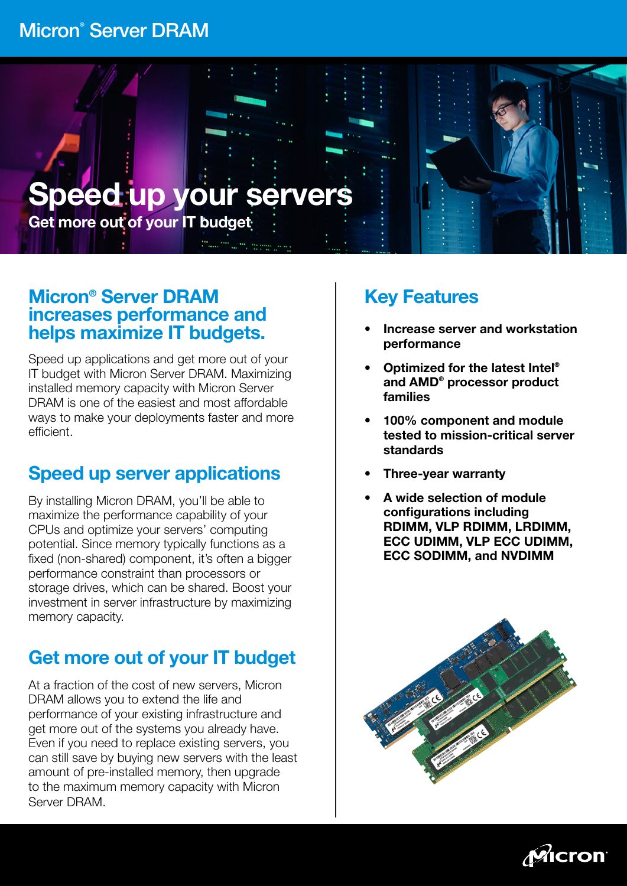# Micron® Server DRAM



## Micron® Server DRAM increases performance and helps maximize IT budgets.

Speed up applications and get more out of your IT budget with Micron Server DRAM. Maximizing installed memory capacity with Micron Server DRAM is one of the easiest and most affordable ways to make your deployments faster and more efficient.

# Speed up server applications

By installing Micron DRAM, you'll be able to maximize the performance capability of your CPUs and optimize your servers' computing potential. Since memory typically functions as a fixed (non-shared) component, it's often a bigger performance constraint than processors or storage drives, which can be shared. Boost your investment in server infrastructure by maximizing memory capacity.

# Get more out of your IT budget

At a fraction of the cost of new servers, Micron DRAM allows you to extend the life and performance of your existing infrastructure and get more out of the systems you already have. Even if you need to replace existing servers, you can still save by buying new servers with the least amount of pre-installed memory, then upgrade to the maximum memory capacity with Micron Server DRAM.

# Key Features

- Increase server and workstation performance
- Optimized for the latest Intel® and AMD® processor product families
- 100% component and module tested to mission-critical server standards
- Three-year warranty
- A wide selection of module configurations including RDIMM, VLP RDIMM, LRDIMM, ECC UDIMM, VLP ECC UDIMM, ECC SODIMM, and NVDIMM